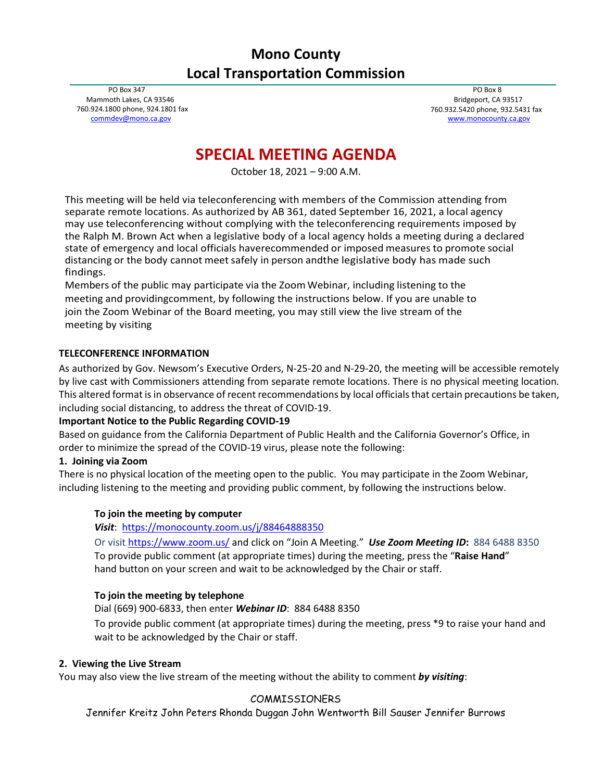# **Mono County Local Transportation Commission**

PO Box 347 Mammoth Lakes, CA 93546 760.924.1800 phone, 924.1801 fax [commdev@mono.ca.gov](mailto:commdev@mono.ca.gov)

PO Box 8 Bridgeport, CA 93517 760.932.5420 phone, 932.5431 fax [www.monocounty.ca.gov](http://www.monocounty.ca.gov/)

# **SPECIAL MEETING AGENDA**

October 18, 2021 – 9:00 A.M.

This meeting will be held via teleconferencing with members of the Commission attending from separate remote locations. As authorized by AB 361, dated September 16, 2021, a local agency may use teleconferencing without complying with the teleconferencing requirements imposed by the Ralph M. Brown Act when a legislative body of a local agency holds a meeting during a declared state of emergency and local officials haverecommended or imposed measures to promote social distancing or the body cannot meetsafely in person andthe legislative body has made such findings.

Members of the public may participate via the Zoom Webinar, including listening to the meeting and providingcomment, by following the instructions below. If you are unable to join the Zoom Webinar of the Board meeting, you may still view the live stream of the meeting by visiting

## **TELECONFERENCE INFORMATION**

As authorized by Gov. Newsom's Executive Orders, N-25-20 and N-29-20, the meeting will be accessible remotely by live cast with Commissioners attending from separate remote locations. There is no physical meeting location. This altered format is in observance of recent recommendations by local officials that certain precautions be taken, including social distancing, to address the threat of COVID-19.

## **Important Notice to the Public Regarding COVID-19**

Based on guidance from the California Department of Public Health and the California Governor's Office, in order to minimize the spread of the COVID-19 virus, please note the following:

## **1. Joining via Zoom**

There is no physical location of the meeting open to the public. You may participate in the Zoom Webinar, including listening to the meeting and providing public comment, by following the instructions below.

## **To join the meeting by computer**

*Visit*:<https://monocounty.zoom.us/j/88464888350>

Or visit<https://www.zoom.us/> and click on "Join A Meeting."*Use Zoom Meeting ID***:** 884 6488 8350 To provide public comment (at appropriate times) during the meeting, press the "**Raise Hand**" hand button on your screen and wait to be acknowledged by the Chair or staff.

## **To join the meeting by telephone**

Dial (669) 900-6833, then enter *Webinar ID*: 884 6488 8350

To provide public comment (at appropriate times) during the meeting, press \*9 to raise your hand and wait to be acknowledged by the Chair or staff.

## **2. Viewing the Live Stream**

You may also view the live stream of the meeting without the ability to comment *by visiting*:

## COMMISSIONERS

Jennifer Kreitz John Peters Rhonda Duggan John Wentworth Bill Sauser Jennifer Burrows